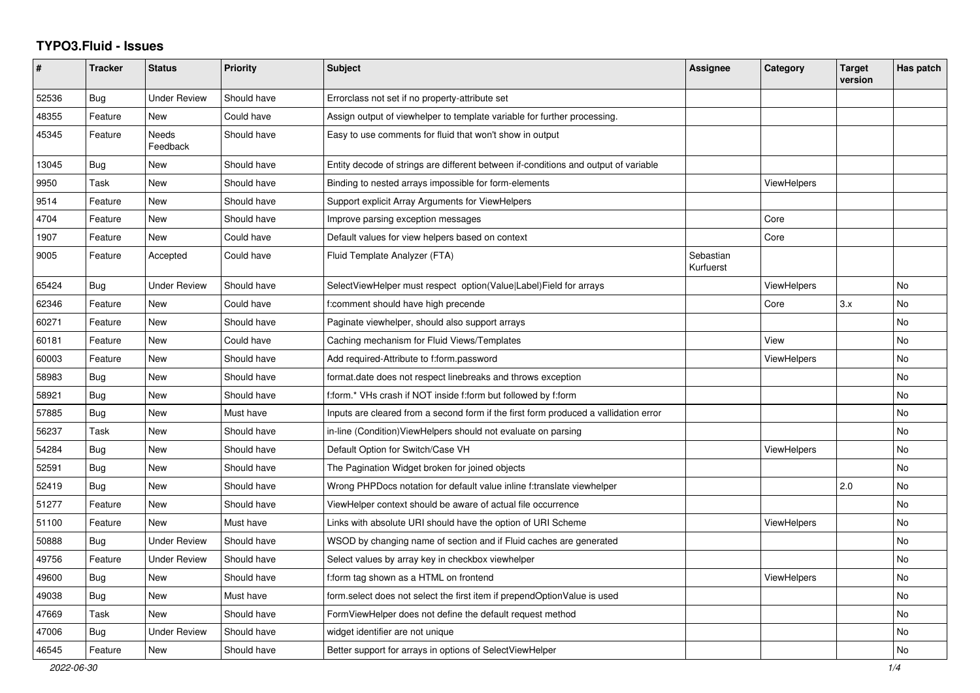## **TYPO3.Fluid - Issues**

| #     | <b>Tracker</b> | <b>Status</b>       | <b>Priority</b> | <b>Subject</b>                                                                       | Assignee               | Category           | <b>Target</b><br>version | Has patch |
|-------|----------------|---------------------|-----------------|--------------------------------------------------------------------------------------|------------------------|--------------------|--------------------------|-----------|
| 52536 | Bug            | <b>Under Review</b> | Should have     | Errorclass not set if no property-attribute set                                      |                        |                    |                          |           |
| 48355 | Feature        | New                 | Could have      | Assign output of viewhelper to template variable for further processing.             |                        |                    |                          |           |
| 45345 | Feature        | Needs<br>Feedback   | Should have     | Easy to use comments for fluid that won't show in output                             |                        |                    |                          |           |
| 13045 | <b>Bug</b>     | New                 | Should have     | Entity decode of strings are different between if-conditions and output of variable  |                        |                    |                          |           |
| 9950  | Task           | New                 | Should have     | Binding to nested arrays impossible for form-elements                                |                        | <b>ViewHelpers</b> |                          |           |
| 9514  | Feature        | New                 | Should have     | Support explicit Array Arguments for ViewHelpers                                     |                        |                    |                          |           |
| 4704  | Feature        | New                 | Should have     | Improve parsing exception messages                                                   |                        | Core               |                          |           |
| 1907  | Feature        | New                 | Could have      | Default values for view helpers based on context                                     |                        | Core               |                          |           |
| 9005  | Feature        | Accepted            | Could have      | Fluid Template Analyzer (FTA)                                                        | Sebastian<br>Kurfuerst |                    |                          |           |
| 65424 | Bug            | <b>Under Review</b> | Should have     | SelectViewHelper must respect option(Value Label)Field for arrays                    |                        | ViewHelpers        |                          | No        |
| 62346 | Feature        | New                 | Could have      | f:comment should have high precende                                                  |                        | Core               | 3.x                      | No        |
| 60271 | Feature        | <b>New</b>          | Should have     | Paginate viewhelper, should also support arrays                                      |                        |                    |                          | <b>No</b> |
| 60181 | Feature        | New                 | Could have      | Caching mechanism for Fluid Views/Templates                                          |                        | View               |                          | No        |
| 60003 | Feature        | New                 | Should have     | Add required-Attribute to f:form.password                                            |                        | ViewHelpers        |                          | No        |
| 58983 | Bug            | New                 | Should have     | format.date does not respect linebreaks and throws exception                         |                        |                    |                          | <b>No</b> |
| 58921 | <b>Bug</b>     | New                 | Should have     | f:form.* VHs crash if NOT inside f:form but followed by f:form                       |                        |                    |                          | No        |
| 57885 | <b>Bug</b>     | New                 | Must have       | Inputs are cleared from a second form if the first form produced a vallidation error |                        |                    |                          | No        |
| 56237 | Task           | New                 | Should have     | in-line (Condition) View Helpers should not evaluate on parsing                      |                        |                    |                          | No        |
| 54284 | <b>Bug</b>     | <b>New</b>          | Should have     | Default Option for Switch/Case VH                                                    |                        | ViewHelpers        |                          | <b>No</b> |
| 52591 | Bug            | New                 | Should have     | The Pagination Widget broken for joined objects                                      |                        |                    |                          | No        |
| 52419 | Bug            | New                 | Should have     | Wrong PHPDocs notation for default value inline f:translate viewhelper               |                        |                    | 2.0                      | <b>No</b> |
| 51277 | Feature        | <b>New</b>          | Should have     | ViewHelper context should be aware of actual file occurrence                         |                        |                    |                          | <b>No</b> |
| 51100 | Feature        | New                 | Must have       | Links with absolute URI should have the option of URI Scheme                         |                        | ViewHelpers        |                          | No        |
| 50888 | Bug            | Under Review        | Should have     | WSOD by changing name of section and if Fluid caches are generated                   |                        |                    |                          | No        |
| 49756 | Feature        | <b>Under Review</b> | Should have     | Select values by array key in checkbox viewhelper                                    |                        |                    |                          | No        |
| 49600 | <b>Bug</b>     | New                 | Should have     | f:form tag shown as a HTML on frontend                                               |                        | ViewHelpers        |                          | <b>No</b> |
| 49038 | Bug            | New                 | Must have       | form.select does not select the first item if prependOptionValue is used             |                        |                    |                          | No        |
| 47669 | Task           | New                 | Should have     | FormViewHelper does not define the default request method                            |                        |                    |                          | No        |
| 47006 | Bug            | <b>Under Review</b> | Should have     | widget identifier are not unique                                                     |                        |                    |                          | No        |
| 46545 | Feature        | New                 | Should have     | Better support for arrays in options of SelectViewHelper                             |                        |                    |                          | No        |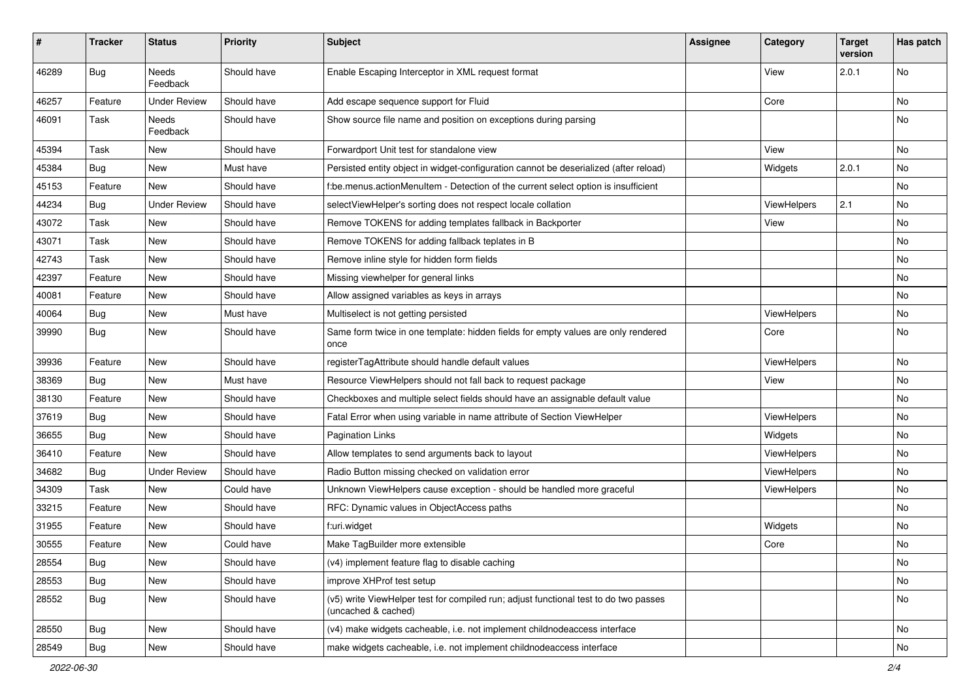| $\sharp$ | <b>Tracker</b> | <b>Status</b>            | <b>Priority</b> | Subject                                                                                                     | <b>Assignee</b> | Category    | <b>Target</b><br>version | Has patch |
|----------|----------------|--------------------------|-----------------|-------------------------------------------------------------------------------------------------------------|-----------------|-------------|--------------------------|-----------|
| 46289    | <b>Bug</b>     | <b>Needs</b><br>Feedback | Should have     | Enable Escaping Interceptor in XML request format                                                           |                 | View        | 2.0.1                    | <b>No</b> |
| 46257    | Feature        | <b>Under Review</b>      | Should have     | Add escape sequence support for Fluid                                                                       |                 | Core        |                          | No        |
| 46091    | Task           | Needs<br>Feedback        | Should have     | Show source file name and position on exceptions during parsing                                             |                 |             |                          | No        |
| 45394    | Task           | <b>New</b>               | Should have     | Forwardport Unit test for standalone view                                                                   |                 | View        |                          | No        |
| 45384    | Bug            | New                      | Must have       | Persisted entity object in widget-configuration cannot be deserialized (after reload)                       |                 | Widgets     | 2.0.1                    | No        |
| 45153    | Feature        | <b>New</b>               | Should have     | f:be.menus.actionMenuItem - Detection of the current select option is insufficient                          |                 |             |                          | No        |
| 44234    | Bug            | <b>Under Review</b>      | Should have     | selectViewHelper's sorting does not respect locale collation                                                |                 | ViewHelpers | 2.1                      | No        |
| 43072    | Task           | New                      | Should have     | Remove TOKENS for adding templates fallback in Backporter                                                   |                 | View        |                          | No        |
| 43071    | Task           | New                      | Should have     | Remove TOKENS for adding fallback teplates in B                                                             |                 |             |                          | No        |
| 42743    | Task           | New                      | Should have     | Remove inline style for hidden form fields                                                                  |                 |             |                          | No        |
| 42397    | Feature        | New                      | Should have     | Missing viewhelper for general links                                                                        |                 |             |                          | No        |
| 40081    | Feature        | New                      | Should have     | Allow assigned variables as keys in arrays                                                                  |                 |             |                          | No        |
| 40064    | Bug            | New                      | Must have       | Multiselect is not getting persisted                                                                        |                 | ViewHelpers |                          | No        |
| 39990    | Bug            | New                      | Should have     | Same form twice in one template: hidden fields for empty values are only rendered<br>once                   |                 | Core        |                          | No        |
| 39936    | Feature        | New                      | Should have     | registerTagAttribute should handle default values                                                           |                 | ViewHelpers |                          | No        |
| 38369    | Bug            | New                      | Must have       | Resource ViewHelpers should not fall back to request package                                                |                 | View        |                          | No        |
| 38130    | Feature        | New                      | Should have     | Checkboxes and multiple select fields should have an assignable default value                               |                 |             |                          | No        |
| 37619    | Bug            | New                      | Should have     | Fatal Error when using variable in name attribute of Section ViewHelper                                     |                 | ViewHelpers |                          | No        |
| 36655    | Bug            | New                      | Should have     | <b>Pagination Links</b>                                                                                     |                 | Widgets     |                          | No        |
| 36410    | Feature        | <b>New</b>               | Should have     | Allow templates to send arguments back to layout                                                            |                 | ViewHelpers |                          | No        |
| 34682    | Bug            | <b>Under Review</b>      | Should have     | Radio Button missing checked on validation error                                                            |                 | ViewHelpers |                          | No        |
| 34309    | Task           | New                      | Could have      | Unknown ViewHelpers cause exception - should be handled more graceful                                       |                 | ViewHelpers |                          | No        |
| 33215    | Feature        | New                      | Should have     | RFC: Dynamic values in ObjectAccess paths                                                                   |                 |             |                          | No        |
| 31955    | Feature        | New                      | Should have     | f:uri.widget                                                                                                |                 | Widgets     |                          | No        |
| 30555    | Feature        | New                      | Could have      | Make TagBuilder more extensible                                                                             |                 | Core        |                          | No        |
| 28554    | <b>Bug</b>     | New                      | Should have     | (v4) implement feature flag to disable caching                                                              |                 |             |                          | No        |
| 28553    | <b>Bug</b>     | New                      | Should have     | improve XHProf test setup                                                                                   |                 |             |                          | No        |
| 28552    | Bug            | New                      | Should have     | (v5) write ViewHelper test for compiled run; adjust functional test to do two passes<br>(uncached & cached) |                 |             |                          | No        |
| 28550    | Bug            | New                      | Should have     | (v4) make widgets cacheable, i.e. not implement childnodeaccess interface                                   |                 |             |                          | No        |
| 28549    | Bug            | New                      | Should have     | make widgets cacheable, i.e. not implement childnodeaccess interface                                        |                 |             |                          | No        |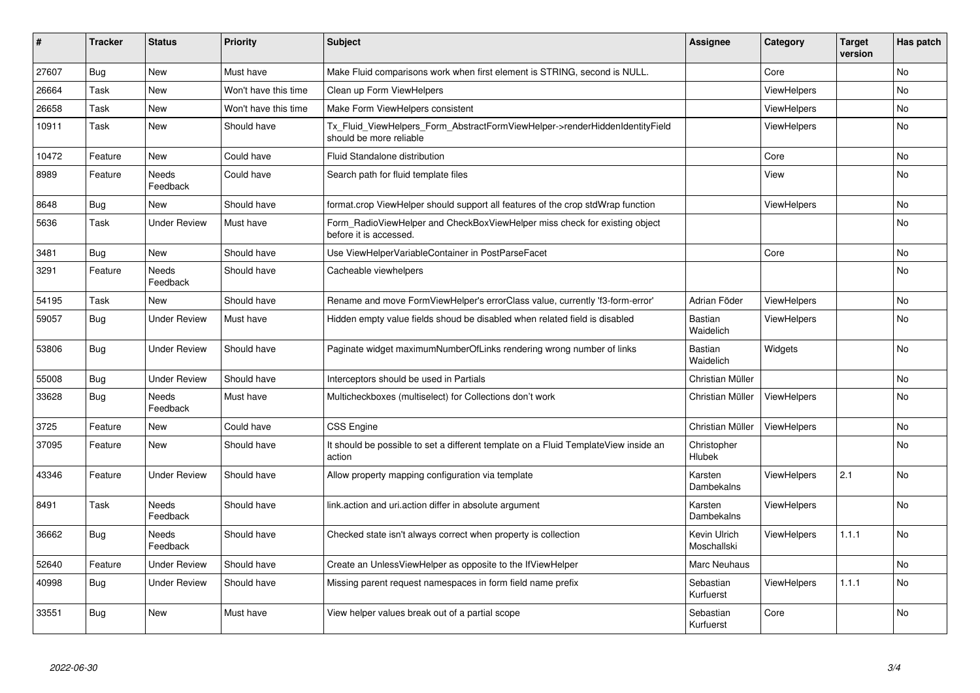| ∦     | <b>Tracker</b> | <b>Status</b>            | <b>Priority</b>      | <b>Subject</b>                                                                                         | <b>Assignee</b>             | Category           | <b>Target</b><br>version | Has patch |
|-------|----------------|--------------------------|----------------------|--------------------------------------------------------------------------------------------------------|-----------------------------|--------------------|--------------------------|-----------|
| 27607 | Bug            | New                      | Must have            | Make Fluid comparisons work when first element is STRING, second is NULL.                              |                             | Core               |                          | No        |
| 26664 | Task           | <b>New</b>               | Won't have this time | Clean up Form ViewHelpers                                                                              |                             | <b>ViewHelpers</b> |                          | No        |
| 26658 | Task           | New                      | Won't have this time | Make Form ViewHelpers consistent                                                                       |                             | ViewHelpers        |                          | No        |
| 10911 | Task           | <b>New</b>               | Should have          | Tx_Fluid_ViewHelpers_Form_AbstractFormViewHelper->renderHiddenIdentityField<br>should be more reliable |                             | <b>ViewHelpers</b> |                          | No        |
| 10472 | Feature        | <b>New</b>               | Could have           | Fluid Standalone distribution                                                                          |                             | Core               |                          | <b>No</b> |
| 8989  | Feature        | <b>Needs</b><br>Feedback | Could have           | Search path for fluid template files                                                                   |                             | View               |                          | No        |
| 8648  | Bug            | New                      | Should have          | format.crop ViewHelper should support all features of the crop stdWrap function                        |                             | ViewHelpers        |                          | No        |
| 5636  | Task           | <b>Under Review</b>      | Must have            | Form RadioViewHelper and CheckBoxViewHelper miss check for existing object<br>before it is accessed.   |                             |                    |                          | No        |
| 3481  | Bug            | <b>New</b>               | Should have          | Use ViewHelperVariableContainer in PostParseFacet                                                      |                             | Core               |                          | No        |
| 3291  | Feature        | <b>Needs</b><br>Feedback | Should have          | Cacheable viewhelpers                                                                                  |                             |                    |                          | No        |
| 54195 | Task           | New                      | Should have          | Rename and move FormViewHelper's errorClass value, currently 'f3-form-error'                           | Adrian Föder                | ViewHelpers        |                          | No        |
| 59057 | Bug            | <b>Under Review</b>      | Must have            | Hidden empty value fields shoud be disabled when related field is disabled                             | Bastian<br>Waidelich        | <b>ViewHelpers</b> |                          | <b>No</b> |
| 53806 | Bug            | <b>Under Review</b>      | Should have          | Paginate widget maximumNumberOfLinks rendering wrong number of links                                   | <b>Bastian</b><br>Waidelich | Widgets            |                          | <b>No</b> |
| 55008 | Bug            | Under Review             | Should have          | Interceptors should be used in Partials                                                                | Christian Müller            |                    |                          | <b>No</b> |
| 33628 | <b>Bug</b>     | Needs<br>Feedback        | Must have            | Multicheckboxes (multiselect) for Collections don't work                                               | Christian Müller            | <b>ViewHelpers</b> |                          | No        |
| 3725  | Feature        | <b>New</b>               | Could have           | CSS Engine                                                                                             | Christian Müller            | <b>ViewHelpers</b> |                          | <b>No</b> |
| 37095 | Feature        | New                      | Should have          | It should be possible to set a different template on a Fluid TemplateView inside an<br>action          | Christopher<br>Hlubek       |                    |                          | No.       |
| 43346 | Feature        | Under Review             | Should have          | Allow property mapping configuration via template                                                      | Karsten<br>Dambekalns       | <b>ViewHelpers</b> | 2.1                      | <b>No</b> |
| 8491  | Task           | <b>Needs</b><br>Feedback | Should have          | link action and uri action differ in absolute argument                                                 | Karsten<br>Dambekalns       | <b>ViewHelpers</b> |                          | <b>No</b> |
| 36662 | Bug            | <b>Needs</b><br>Feedback | Should have          | Checked state isn't always correct when property is collection                                         | Kevin Ulrich<br>Moschallski | <b>ViewHelpers</b> | 1.1.1                    | <b>No</b> |
| 52640 | Feature        | <b>Under Review</b>      | Should have          | Create an UnlessViewHelper as opposite to the IfViewHelper                                             | Marc Neuhaus                |                    |                          | No        |
| 40998 | <b>Bug</b>     | <b>Under Review</b>      | Should have          | Missing parent request namespaces in form field name prefix                                            | Sebastian<br>Kurfuerst      | <b>ViewHelpers</b> | 1.1.1                    | <b>No</b> |
| 33551 | <b>Bug</b>     | <b>New</b>               | Must have            | View helper values break out of a partial scope                                                        | Sebastian<br>Kurfuerst      | Core               |                          | <b>No</b> |